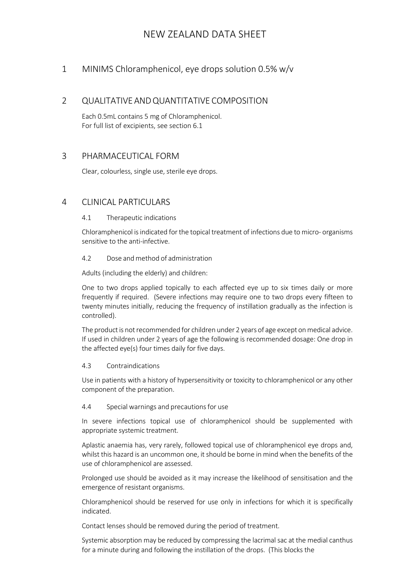## 1 MINIMS Chloramphenicol, eye drops solution 0.5% w/v

## 2 QUALITATIVEANDQUANTITATIVE COMPOSITION

Each 0.5mL contains 5 mg of Chloramphenicol. For full list of excipients, see section 6.1

### 3 PHARMACEUTICAL FORM

Clear, colourless, single use, sterile eye drops.

### 4 CLINICAL PARTICULARS

### 4.1 Therapeutic indications

Chloramphenicol is indicated for the topical treatment of infections due to micro- organisms sensitive to the anti-infective.

### 4.2 Dose andmethod of administration

Adults (including the elderly) and children:

One to two drops applied topically to each affected eye up to six times daily or more frequently if required. (Severe infections may require one to two drops every fifteen to twenty minutes initially, reducing the frequency of instillation gradually as the infection is controlled).

The product is not recommended for children under 2 years of age except on medical advice. If used in children under 2 years of age the following is recommended dosage: One drop in the affected eye(s) four times daily for five days.

#### 4.3 Contraindications

Use in patients with a history of hypersensitivity or toxicity to chloramphenicol or any other component of the preparation.

#### 4.4 Special warnings and precautions for use

In severe infections topical use of chloramphenicol should be supplemented with appropriate systemic treatment.

Aplastic anaemia has, very rarely, followed topical use of chloramphenicol eye drops and, whilst this hazard is an uncommon one, it should be borne in mind when the benefits of the use of chloramphenicol are assessed.

Prolonged use should be avoided as it may increase the likelihood of sensitisation and the emergence of resistant organisms.

Chloramphenicol should be reserved for use only in infections for which it is specifically indicated.

Contact lenses should be removed during the period of treatment.

Systemic absorption may be reduced by compressing the lacrimal sac at the medial canthus for a minute during and following the instillation of the drops. (This blocks the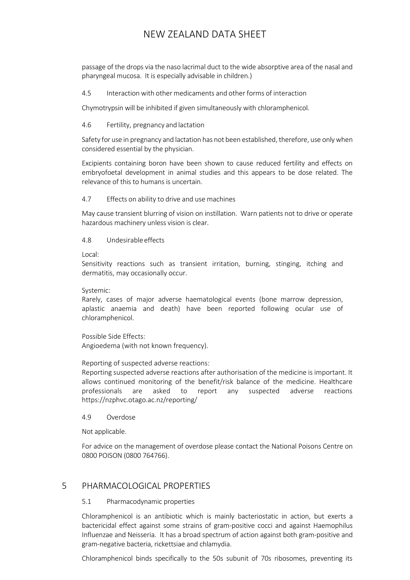passage of the drops via the naso lacrimal duct to the wide absorptive area of the nasal and pharyngeal mucosa. It is especially advisable in children.)

4.5 Interaction with other medicaments and otherforms of interaction

Chymotrypsin will be inhibited if given simultaneously with chloramphenicol.

### 4.6 Fertility, pregnancy and lactation

Safety for use in pregnancy and lactation has not been established, therefore, use onlywhen considered essential by the physician.

Excipients containing boron have been shown to cause reduced fertility and effects on embryofoetal development in animal studies and this appears to be dose related. The relevance of this to humans is uncertain.

### 4.7 Effects on ability to drive and use machines

May cause transient blurring of vision on instillation. Warn patients not to drive or operate hazardous machinery unless vision is clear.

4.8 Undesirableeffects

Local:

Sensitivity reactions such as transient irritation, burning, stinging, itching and dermatitis, may occasionally occur.

Systemic:

Rarely, cases of major adverse haematological events (bone marrow depression, aplastic anaemia and death) have been reported following ocular use of chloramphenicol.

Possible Side Effects:

Angioedema (with not known frequency).

### Reporting of suspected adverse reactions:

Reporting suspected adverse reactions after authorisation of the medicine is important. It allows continued monitoring of the benefit/risk balance of the medicine. Healthcare professionals are asked to report any suspected adverse reactions <https://nzphvc.otago.ac.nz/reporting/>

#### 4.9 Overdose

Not applicable.

For advice on the management of overdose please contact the National Poisons Centre on 0800 POISON (0800 764766).

## 5 PHARMACOLOGICAL PROPERTIES

### 5.1 Pharmacodynamic properties

Chloramphenicol is an antibiotic which is mainly bacteriostatic in action, but exerts a bactericidal effect against some strains of gram-positive cocci and against Haemophilus Influenzae and Neisseria. It has a broad spectrum of action against both gram-positive and gram-negative bacteria, rickettsiae and chlamydia.

Chloramphenicol binds specifically to the 50s subunit of 70s ribosomes, preventing its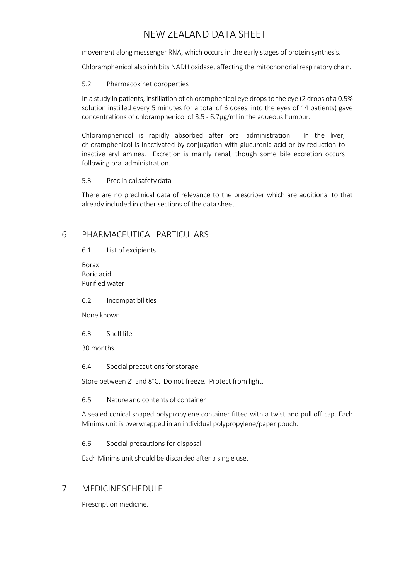movement along messenger RNA, which occurs in the early stages of protein synthesis.

Chloramphenicol also inhibits NADH oxidase, affecting the mitochondrial respiratory chain.

### 5.2 Pharmacokineticproperties

In a study in patients, instillation of chloramphenicol eye drops to the eye (2 drops of a 0.5% solution instilled every 5 minutes for a total of 6 doses, into the eyes of 14 patients) gave concentrations of chloramphenicol of 3.5 - 6.7µg/ml in the aqueous humour.

Chloramphenicol is rapidly absorbed after oral administration. In the liver, chloramphenicol is inactivated by conjugation with glucuronic acid or by reduction to inactive aryl amines. Excretion is mainly renal, though some bile excretion occurs following oral administration.

### 5.3 Preclinicalsafety data

There are no preclinical data of relevance to the prescriber which are additional to that already included in other sections of the data sheet.

### 6 PHARMACEUTICAL PARTICULARS

6.1 List of excipients

Borax Boric acid Purified water

6.2 Incompatibilities

None known.

6.3 Shelf life

30 months.

6.4 Special precautions for storage

Store between 2° and 8°C. Do not freeze. Protect from light.

6.5 Nature and contents of container

A sealed conical shaped polypropylene container fitted with a twist and pull off cap. Each Minims unit is overwrapped in an individual polypropylene/paper pouch.

6.6 Special precautions for disposal

Each Minims unit should be discarded after a single use.

### 7 MEDICINESCHEDULE

Prescription medicine.